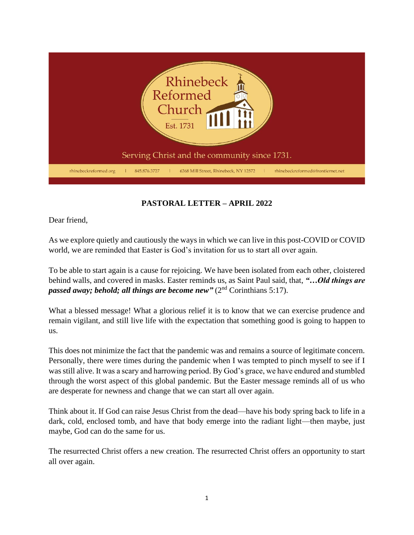

## **PASTORAL LETTER – APRIL 2022**

Dear friend,

As we explore quietly and cautiously the ways in which we can live in this post-COVID or COVID world, we are reminded that Easter is God's invitation for us to start all over again.

To be able to start again is a cause for rejoicing. We have been isolated from each other, cloistered behind walls, and covered in masks. Easter reminds us, as Saint Paul said, that, *"…Old things are passed away; behold; all things are become new* " (2<sup>nd</sup> Corinthians 5:17).

What a blessed message! What a glorious relief it is to know that we can exercise prudence and remain vigilant, and still live life with the expectation that something good is going to happen to us.

This does not minimize the fact that the pandemic was and remains a source of legitimate concern. Personally, there were times during the pandemic when I was tempted to pinch myself to see if I was still alive. It was a scary and harrowing period. By God's grace, we have endured and stumbled through the worst aspect of this global pandemic. But the Easter message reminds all of us who are desperate for newness and change that we can start all over again.

Think about it. If God can raise Jesus Christ from the dead—have his body spring back to life in a dark, cold, enclosed tomb, and have that body emerge into the radiant light—then maybe, just maybe, God can do the same for us.

The resurrected Christ offers a new creation. The resurrected Christ offers an opportunity to start all over again.